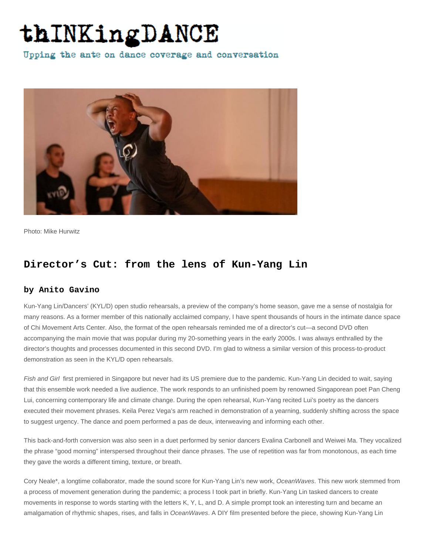## thINKingDANCE

Upping the ante on dance coverage and conversation



Photo: Mike Hurwitz

## **Director's Cut: from the lens of Kun-Yang Lin**

## **by Anito Gavino**

Kun-Yang Lin/Dancers' (KYL/D) open studio rehearsals, a preview of the company's home season, gave me a sense of nostalgia for many reasons. As a former member of this nationally acclaimed company, I have spent thousands of hours in the intimate dance space of Chi Movement Arts Center. Also, the format of the open rehearsals reminded me of a director's cut—a second DVD often accompanying the main movie that was popular during my 20-something years in the early 2000s. I was always enthralled by the director's thoughts and processes documented in this second DVD. I'm glad to witness a similar version of this process-to-product demonstration as seen in the KYL/D open rehearsals.

Fish and Girl first premiered in Singapore but never had its US premiere due to the pandemic. Kun-Yang Lin decided to wait, saying that this ensemble work needed a live audience. The work responds to an unfinished poem by renowned Singaporean poet Pan Cheng Lui, concerning contemporary life and climate change. During the open rehearsal, Kun-Yang recited Lui's poetry as the dancers executed their movement phrases. Keila Perez Vega's arm reached in demonstration of a yearning, suddenly shifting across the space to suggest urgency. The dance and poem performed a pas de deux, interweaving and informing each other.

This back-and-forth conversion was also seen in a duet performed by senior dancers Evalina Carbonell and Weiwei Ma. They vocalized the phrase "good morning" interspersed throughout their dance phrases. The use of repetition was far from monotonous, as each time they gave the words a different timing, texture, or breath.

Cory Neale\*, a longtime collaborator, made the sound score for Kun-Yang Lin's new work, OceanWaves. This new work stemmed from a process of movement generation during the pandemic; a process I took part in briefly. Kun-Yang Lin tasked dancers to create movements in response to words starting with the letters K, Y, L, and D. A simple prompt took an interesting turn and became an amalgamation of rhythmic shapes, rises, and falls in OceanWaves. A DIY film presented before the piece, showing Kun-Yang Lin